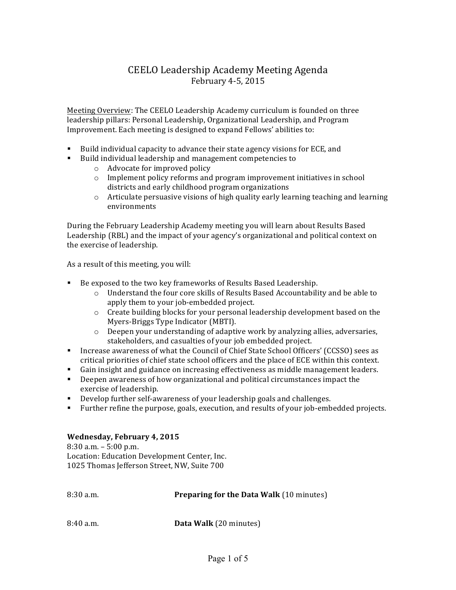## CEELO Leadership Academy Meeting Agenda February 4-5, 2015

Meeting Overview: The CEELO Leadership Academy curriculum is founded on three leadership pillars: Personal Leadership, Organizational Leadership, and Program Improvement. Each meeting is designed to expand Fellows' abilities to:

- **•** Build individual capacity to advance their state agency visions for ECE, and
- Build individual leadership and management competencies to
	- o Advocate for improved policy
	- $\circ$  Implement policy reforms and program improvement initiatives in school districts and early childhood program organizations
	- $\circ$  Articulate persuasive visions of high quality early learning teaching and learning environments

During the February Leadership Academy meeting you will learn about Results Based Leadership (RBL) and the impact of your agency's organizational and political context on the exercise of leadership.

As a result of this meeting, you will:

- Be exposed to the two key frameworks of Results Based Leadership.
	- $\circ$  Understand the four core skills of Results Based Accountability and be able to apply them to your job-embedded project.
	- $\circ$  Create building blocks for your personal leadership development based on the Myers-Briggs Type Indicator (MBTI).
	- o Deepen your understanding of adaptive work by analyzing allies, adversaries, stakeholders, and casualties of your job embedded project.
- Increase awareness of what the Council of Chief State School Officers' (CCSSO) sees as critical priorities of chief state school officers and the place of ECE within this context.
- Gain insight and guidance on increasing effectiveness as middle management leaders.
- Deepen awareness of how organizational and political circumstances impact the exercise of leadership.
- Develop further self-awareness of your leadership goals and challenges.
- Further refine the purpose, goals, execution, and results of your job-embedded projects.

## **Wednesday, February 4, 2015**

 $8:30$  a.m.  $-5:00$  p.m. Location: Education Development Center, Inc. 1025 Thomas Jefferson Street, NW, Suite 700

| $8:30$ a.m. | <b>Preparing for the Data Walk (10 minutes)</b> |
|-------------|-------------------------------------------------|
| $8:40$ a.m. | Data Walk (20 minutes)                          |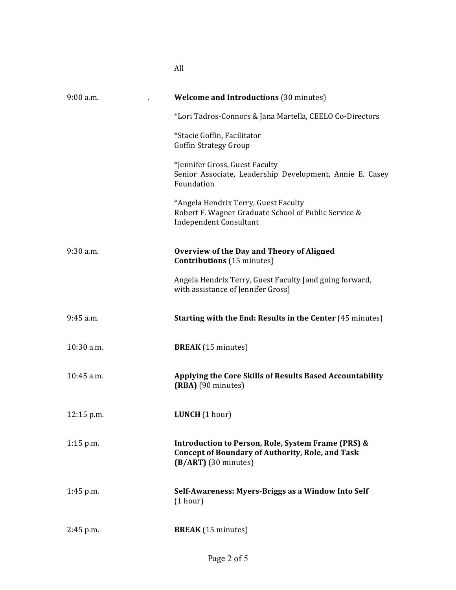| $9:00$ a.m.  | <b>Welcome and Introductions (30 minutes)</b>                                                                                           |
|--------------|-----------------------------------------------------------------------------------------------------------------------------------------|
|              | *Lori Tadros-Connors & Jana Martella, CEELO Co-Directors                                                                                |
|              | *Stacie Goffin, Facilitator<br><b>Goffin Strategy Group</b>                                                                             |
|              | *Jennifer Gross, Guest Faculty<br>Senior Associate, Leadership Development, Annie E. Casey<br>Foundation                                |
|              | *Angela Hendrix Terry, Guest Faculty<br>Robert F. Wagner Graduate School of Public Service &<br><b>Independent Consultant</b>           |
| $9:30$ a.m.  | <b>Overview of the Day and Theory of Aligned</b><br><b>Contributions</b> (15 minutes)                                                   |
|              | Angela Hendrix Terry, Guest Faculty [and going forward,<br>with assistance of Jennifer Gross]                                           |
| $9:45$ a.m.  | <b>Starting with the End: Results in the Center (45 minutes)</b>                                                                        |
| 10:30 a.m.   | <b>BREAK</b> (15 minutes)                                                                                                               |
| 10:45 a.m.   | Applying the Core Skills of Results Based Accountability<br>(RBA) (90 minutes)                                                          |
| $12:15$ p.m. | LUNCH (1 hour)                                                                                                                          |
| $1:15$ p.m.  | Introduction to Person, Role, System Frame (PRS) &<br><b>Concept of Boundary of Authority, Role, and Task</b><br>$(B/ART)$ (30 minutes) |
| $1:45$ p.m.  | Self-Awareness: Myers-Briggs as a Window Into Self<br>(1 hour)                                                                          |
| $2:45$ p.m.  | <b>BREAK</b> (15 minutes)                                                                                                               |

All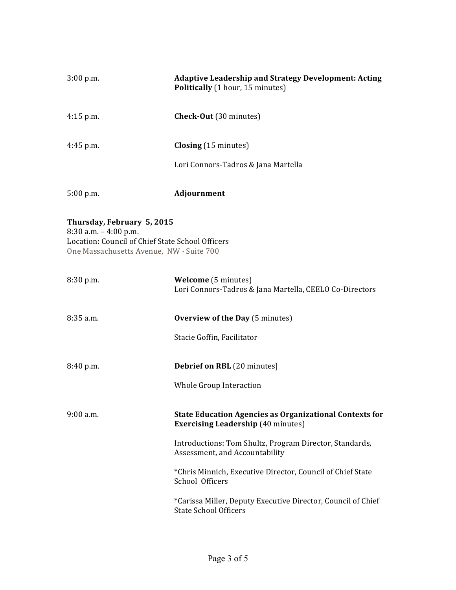| $3:00$ p.m.                                                                                                                                            | <b>Adaptive Leadership and Strategy Development: Acting</b><br>Politically (1 hour, 15 minutes)             |  |
|--------------------------------------------------------------------------------------------------------------------------------------------------------|-------------------------------------------------------------------------------------------------------------|--|
| $4:15$ p.m.                                                                                                                                            | Check-Out (30 minutes)                                                                                      |  |
| $4:45$ p.m.                                                                                                                                            | <b>Closing</b> (15 minutes)                                                                                 |  |
|                                                                                                                                                        | Lori Connors-Tadros & Jana Martella                                                                         |  |
| 5:00 p.m.                                                                                                                                              | Adjournment                                                                                                 |  |
| Thursday, February 5, 2015<br>$8:30$ a.m. $-4:00$ p.m.<br>Location: Council of Chief State School Officers<br>One Massachusetts Avenue, NW · Suite 700 |                                                                                                             |  |
| 8:30 p.m.                                                                                                                                              | <b>Welcome</b> (5 minutes)<br>Lori Connors-Tadros & Jana Martella, CEELO Co-Directors                       |  |
| $8:35$ a.m.                                                                                                                                            | <b>Overview of the Day</b> (5 minutes)                                                                      |  |
|                                                                                                                                                        | Stacie Goffin, Facilitator                                                                                  |  |
| 8:40 p.m.                                                                                                                                              | Debrief on RBL (20 minutes]                                                                                 |  |
|                                                                                                                                                        | Whole Group Interaction                                                                                     |  |
| $9:00$ a.m.                                                                                                                                            | <b>State Education Agencies as Organizational Contexts for</b><br><b>Exercising Leadership (40 minutes)</b> |  |
|                                                                                                                                                        | Introductions: Tom Shultz, Program Director, Standards,<br>Assessment, and Accountability                   |  |
|                                                                                                                                                        | *Chris Minnich, Executive Director, Council of Chief State<br>School Officers                               |  |
|                                                                                                                                                        | *Carissa Miller, Deputy Executive Director, Council of Chief<br><b>State School Officers</b>                |  |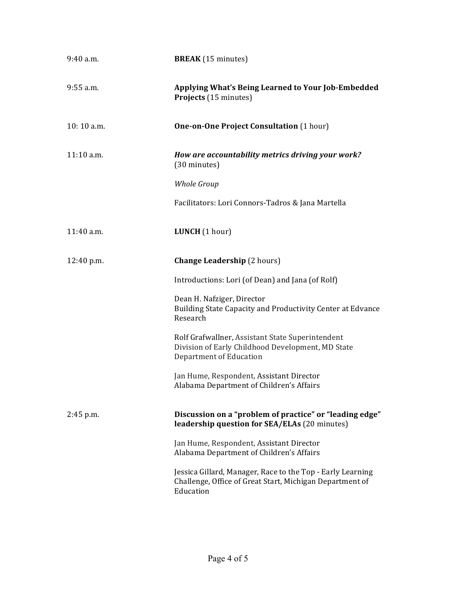| $9:40$ a.m.  | <b>BREAK</b> (15 minutes)                                                                                                           |
|--------------|-------------------------------------------------------------------------------------------------------------------------------------|
| 9:55 a.m.    | Applying What's Being Learned to Your Job-Embedded<br>Projects (15 minutes)                                                         |
| 10:10 a.m.   | <b>One-on-One Project Consultation (1 hour)</b>                                                                                     |
| $11:10$ a.m. | How are accountability metrics driving your work?<br>(30 minutes)                                                                   |
|              | <b>Whole Group</b>                                                                                                                  |
|              | Facilitators: Lori Connors-Tadros & Jana Martella                                                                                   |
| 11:40 a.m.   | LUNCH (1 hour)                                                                                                                      |
| 12:40 p.m.   | <b>Change Leadership</b> (2 hours)                                                                                                  |
|              | Introductions: Lori (of Dean) and Jana (of Rolf)                                                                                    |
|              | Dean H. Nafziger, Director<br>Building State Capacity and Productivity Center at Edvance<br>Research                                |
|              | Rolf Grafwallner, Assistant State Superintendent<br>Division of Early Childhood Development, MD State<br>Department of Education    |
|              | Jan Hume, Respondent, Assistant Director<br>Alabama Department of Children's Affairs                                                |
| $2:45$ p.m.  | Discussion on a "problem of practice" or "leading edge"<br>leadership question for SEA/ELAs (20 minutes)                            |
|              | Jan Hume, Respondent, Assistant Director<br>Alabama Department of Children's Affairs                                                |
|              | Jessica Gillard, Manager, Race to the Top - Early Learning<br>Challenge, Office of Great Start, Michigan Department of<br>Education |